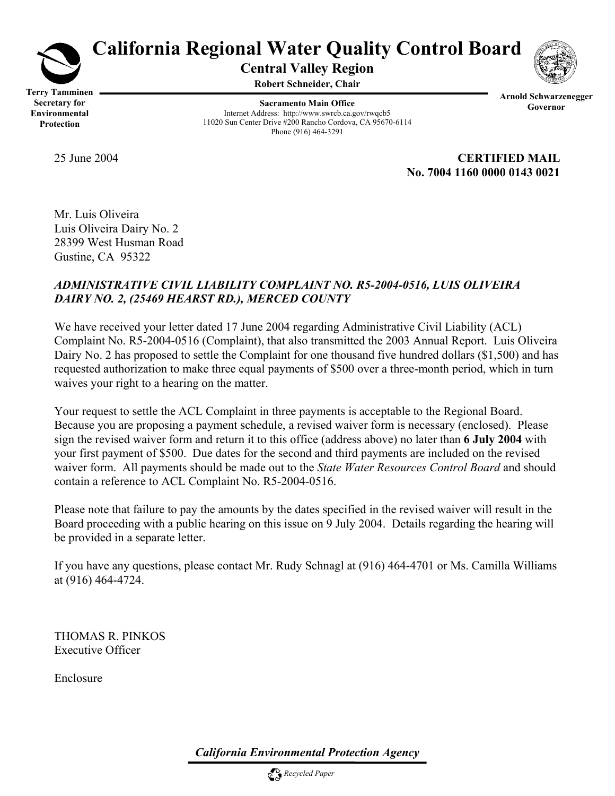

# **California Regional Water Quality Control Board**

**Central Valley Region** 

**Robert Schneider, Chair**

**Terry Tamminen Secretary for Environmental Protection** 

**Sacramento Main Office** Internet Address: http://www.swrcb.ca.gov/rwqcb5 11020 Sun Center Drive #200 Rancho Cordova, CA 95670-6114 Phone (916) 464-3291



25 June 2004 **CERTIFIED MAIL No. 7004 1160 0000 0143 0021** 

Mr. Luis Oliveira Luis Oliveira Dairy No. 2 28399 West Husman Road Gustine, CA 95322

## *ADMINISTRATIVE CIVIL LIABILITY COMPLAINT NO. R5-2004-0516, LUIS OLIVEIRA DAIRY NO. 2, (25469 HEARST RD.), MERCED COUNTY*

We have received your letter dated 17 June 2004 regarding Administrative Civil Liability (ACL) Complaint No. R5-2004-0516 (Complaint), that also transmitted the 2003 Annual Report. Luis Oliveira Dairy No. 2 has proposed to settle the Complaint for one thousand five hundred dollars (\$1,500) and has requested authorization to make three equal payments of \$500 over a three-month period, which in turn waives your right to a hearing on the matter.

Your request to settle the ACL Complaint in three payments is acceptable to the Regional Board. Because you are proposing a payment schedule, a revised waiver form is necessary (enclosed). Please sign the revised waiver form and return it to this office (address above) no later than **6 July 2004** with your first payment of \$500. Due dates for the second and third payments are included on the revised waiver form. All payments should be made out to the *State Water Resources Control Board* and should contain a reference to ACL Complaint No. R5-2004-0516.

Please note that failure to pay the amounts by the dates specified in the revised waiver will result in the Board proceeding with a public hearing on this issue on 9 July 2004. Details regarding the hearing will be provided in a separate letter.

If you have any questions, please contact Mr. Rudy Schnagl at (916) 464-4701 or Ms. Camilla Williams at (916) 464-4724.

THOMAS R. PINKOS Executive Officer

Enclosure

*California Environmental Protection Agency*

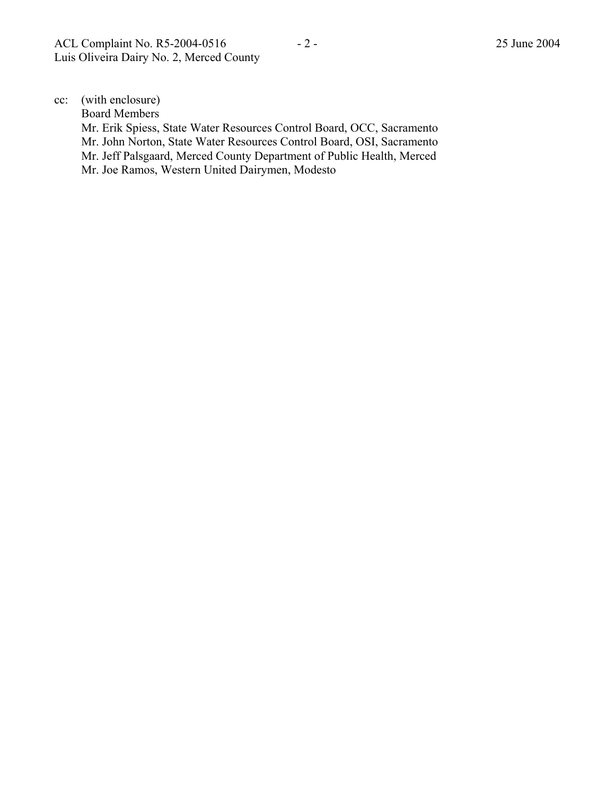cc: (with enclosure)

Board Members

 Mr. Erik Spiess, State Water Resources Control Board, OCC, Sacramento Mr. John Norton, State Water Resources Control Board, OSI, Sacramento Mr. Jeff Palsgaard, Merced County Department of Public Health, Merced Mr. Joe Ramos, Western United Dairymen, Modesto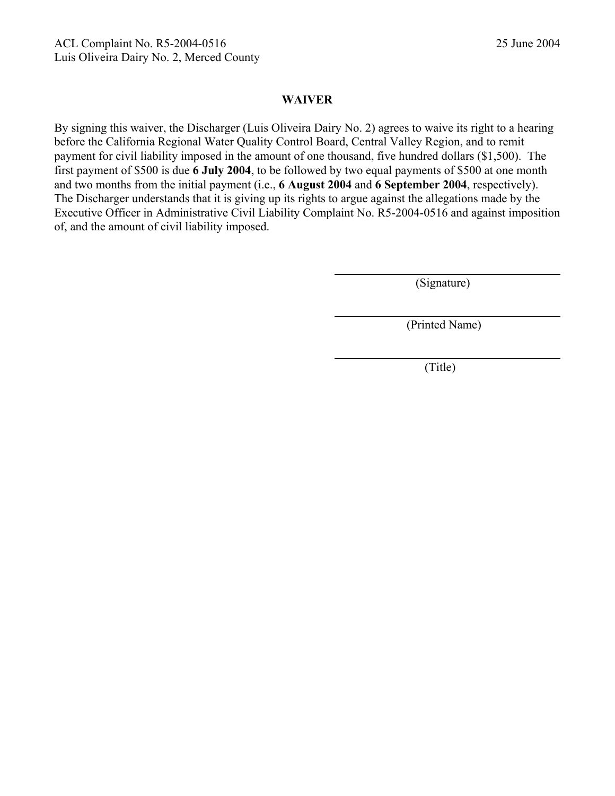#### **WAIVER**

By signing this waiver, the Discharger (Luis Oliveira Dairy No. 2) agrees to waive its right to a hearing before the California Regional Water Quality Control Board, Central Valley Region, and to remit payment for civil liability imposed in the amount of one thousand, five hundred dollars (\$1,500). The first payment of \$500 is due **6 July 2004**, to be followed by two equal payments of \$500 at one month and two months from the initial payment (i.e., **6 August 2004** and **6 September 2004**, respectively). The Discharger understands that it is giving up its rights to argue against the allegations made by the Executive Officer in Administrative Civil Liability Complaint No. R5-2004-0516 and against imposition of, and the amount of civil liability imposed.

(Signature)

(Printed Name)

(Title)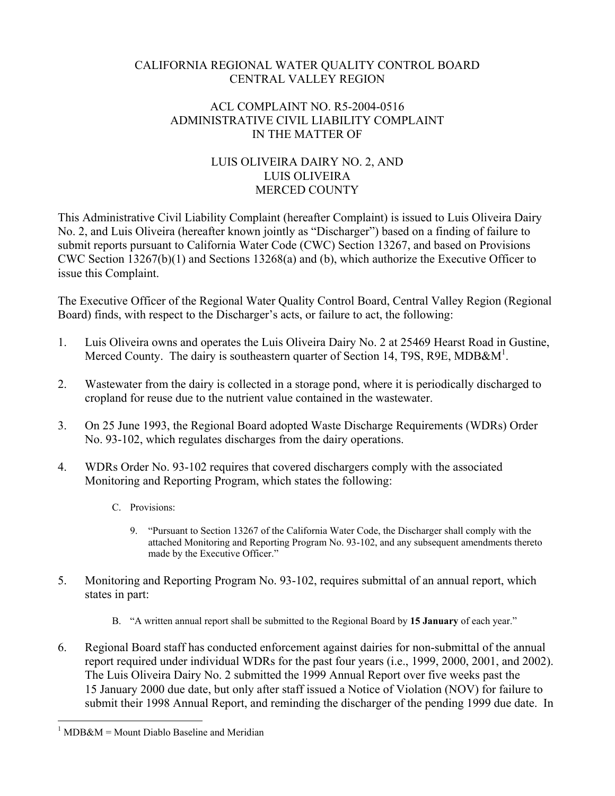#### CALIFORNIA REGIONAL WATER QUALITY CONTROL BOARD CENTRAL VALLEY REGION

### ACL COMPLAINT NO. R5-2004-0516 ADMINISTRATIVE CIVIL LIABILITY COMPLAINT IN THE MATTER OF

## LUIS OLIVEIRA DAIRY NO. 2, AND LUIS OLIVEIRA MERCED COUNTY

This Administrative Civil Liability Complaint (hereafter Complaint) is issued to Luis Oliveira Dairy No. 2, and Luis Oliveira (hereafter known jointly as "Discharger") based on a finding of failure to submit reports pursuant to California Water Code (CWC) Section 13267, and based on Provisions CWC Section 13267(b)(1) and Sections 13268(a) and (b), which authorize the Executive Officer to issue this Complaint.

The Executive Officer of the Regional Water Quality Control Board, Central Valley Region (Regional Board) finds, with respect to the Discharger's acts, or failure to act, the following:

- 1. Luis Oliveira owns and operates the Luis Oliveira Dairy No. 2 at 25469 Hearst Road in Gustine, Merced County. The dairy is southeastern quarter of Section 14, T9S, R9E, MDB&M<sup>1</sup>.
- 2. Wastewater from the dairy is collected in a storage pond, where it is periodically discharged to cropland for reuse due to the nutrient value contained in the wastewater.
- 3. On 25 June 1993, the Regional Board adopted Waste Discharge Requirements (WDRs) Order No. 93-102, which regulates discharges from the dairy operations.
- 4. WDRs Order No. 93-102 requires that covered dischargers comply with the associated Monitoring and Reporting Program, which states the following:
	- C. Provisions:
		- 9. "Pursuant to Section 13267 of the California Water Code, the Discharger shall comply with the attached Monitoring and Reporting Program No. 93-102, and any subsequent amendments thereto made by the Executive Officer."
- 5. Monitoring and Reporting Program No. 93-102, requires submittal of an annual report, which states in part:
	- B. "A written annual report shall be submitted to the Regional Board by **15 January** of each year."
- 6. Regional Board staff has conducted enforcement against dairies for non-submittal of the annual report required under individual WDRs for the past four years (i.e., 1999, 2000, 2001, and 2002). The Luis Oliveira Dairy No. 2 submitted the 1999 Annual Report over five weeks past the 15 January 2000 due date, but only after staff issued a Notice of Violation (NOV) for failure to submit their 1998 Annual Report, and reminding the discharger of the pending 1999 due date. In

 $\overline{a}$  $1$  MDB&M = Mount Diablo Baseline and Meridian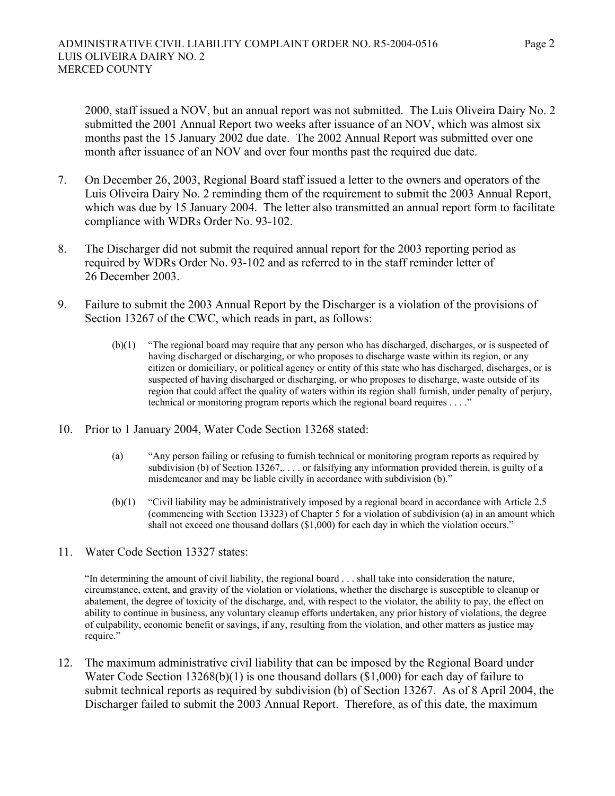2000, staff issued a NOV, but an annual report was not submitted. The Luis Oliveira Dairy No. 2 submitted the 2001 Annual Report two weeks after issuance of an NOV, which was almost six months past the 15 January 2002 due date. The 2002 Annual Report was submitted over one month after issuance of an NOV and over four months past the required due date.

- 7. On December 26, 2003, Regional Board staff issued a letter to the owners and operators of the Luis Oliveira Dairy No. 2 reminding them of the requirement to submit the 2003 Annual Report, which was due by 15 January 2004. The letter also transmitted an annual report form to facilitate compliance with WDRs Order No. 93-102.
- 8. The Discharger did not submit the required annual report for the 2003 reporting period as required by WDRs Order No. 93-102 and as referred to in the staff reminder letter of 26 December 2003.
- 9. Failure to submit the 2003 Annual Report by the Discharger is a violation of the provisions of Section 13267 of the CWC, which reads in part, as follows:
	- (b)(1) "The regional board may require that any person who has discharged, discharges, or is suspected of having discharged or discharging, or who proposes to discharge waste within its region, or any citizen or domiciliary, or political agency or entity of this state who has discharged, discharges, or is suspected of having discharged or discharging, or who proposes to discharge, waste outside of its region that could affect the quality of waters within its region shall furnish, under penalty of perjury, technical or monitoring program reports which the regional board requires . . . ."
- 10. Prior to 1 January 2004, Water Code Section 13268 stated:
	- (a) "Any person failing or refusing to furnish technical or monitoring program reports as required by subdivision (b) of Section 13267,... or falsifying any information provided therein, is guilty of a misdemeanor and may be liable civilly in accordance with subdivision (b)."
	- (b)(1) "Civil liability may be administratively imposed by a regional board in accordance with Article 2.5 (commencing with Section 13323) of Chapter 5 for a violation of subdivision (a) in an amount which shall not exceed one thousand dollars (\$1,000) for each day in which the violation occurs."
- 11. Water Code Section 13327 states:

"In determining the amount of civil liability, the regional board . . . shall take into consideration the nature, circumstance, extent, and gravity of the violation or violations, whether the discharge is susceptible to cleanup or abatement, the degree of toxicity of the discharge, and, with respect to the violator, the ability to pay, the effect on ability to continue in business, any voluntary cleanup efforts undertaken, any prior history of violations, the degree of culpability, economic benefit or savings, if any, resulting from the violation, and other matters as justice may require."

12. The maximum administrative civil liability that can be imposed by the Regional Board under Water Code Section 13268(b)(1) is one thousand dollars (\$1,000) for each day of failure to submit technical reports as required by subdivision (b) of Section 13267. As of 8 April 2004, the Discharger failed to submit the 2003 Annual Report. Therefore, as of this date, the maximum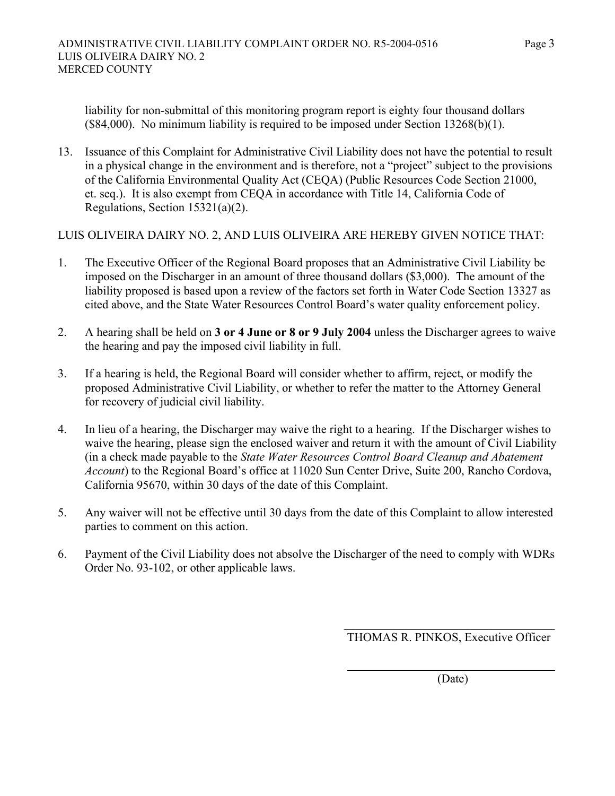liability for non-submittal of this monitoring program report is eighty four thousand dollars (\$84,000). No minimum liability is required to be imposed under Section 13268(b)(1).

13. Issuance of this Complaint for Administrative Civil Liability does not have the potential to result in a physical change in the environment and is therefore, not a "project" subject to the provisions of the California Environmental Quality Act (CEQA) (Public Resources Code Section 21000, et. seq.). It is also exempt from CEQA in accordance with Title 14, California Code of Regulations, Section 15321(a)(2).

LUIS OLIVEIRA DAIRY NO. 2, AND LUIS OLIVEIRA ARE HEREBY GIVEN NOTICE THAT:

- 1. The Executive Officer of the Regional Board proposes that an Administrative Civil Liability be imposed on the Discharger in an amount of three thousand dollars (\$3,000). The amount of the liability proposed is based upon a review of the factors set forth in Water Code Section 13327 as cited above, and the State Water Resources Control Board's water quality enforcement policy.
- 2. A hearing shall be held on **3 or 4 June or 8 or 9 July 2004** unless the Discharger agrees to waive the hearing and pay the imposed civil liability in full.
- 3. If a hearing is held, the Regional Board will consider whether to affirm, reject, or modify the proposed Administrative Civil Liability, or whether to refer the matter to the Attorney General for recovery of judicial civil liability.
- 4. In lieu of a hearing, the Discharger may waive the right to a hearing. If the Discharger wishes to waive the hearing, please sign the enclosed waiver and return it with the amount of Civil Liability (in a check made payable to the *State Water Resources Control Board Cleanup and Abatement Account*) to the Regional Board's office at 11020 Sun Center Drive, Suite 200, Rancho Cordova, California 95670, within 30 days of the date of this Complaint.
- 5. Any waiver will not be effective until 30 days from the date of this Complaint to allow interested parties to comment on this action.
- 6. Payment of the Civil Liability does not absolve the Discharger of the need to comply with WDRs Order No. 93-102, or other applicable laws.

 $\mathcal{L}_\text{max}$  and  $\mathcal{L}_\text{max}$  and  $\mathcal{L}_\text{max}$  and  $\mathcal{L}_\text{max}$  and  $\mathcal{L}_\text{max}$  and  $\mathcal{L}_\text{max}$ 

THOMAS R. PINKOS, Executive Officer

(Date)